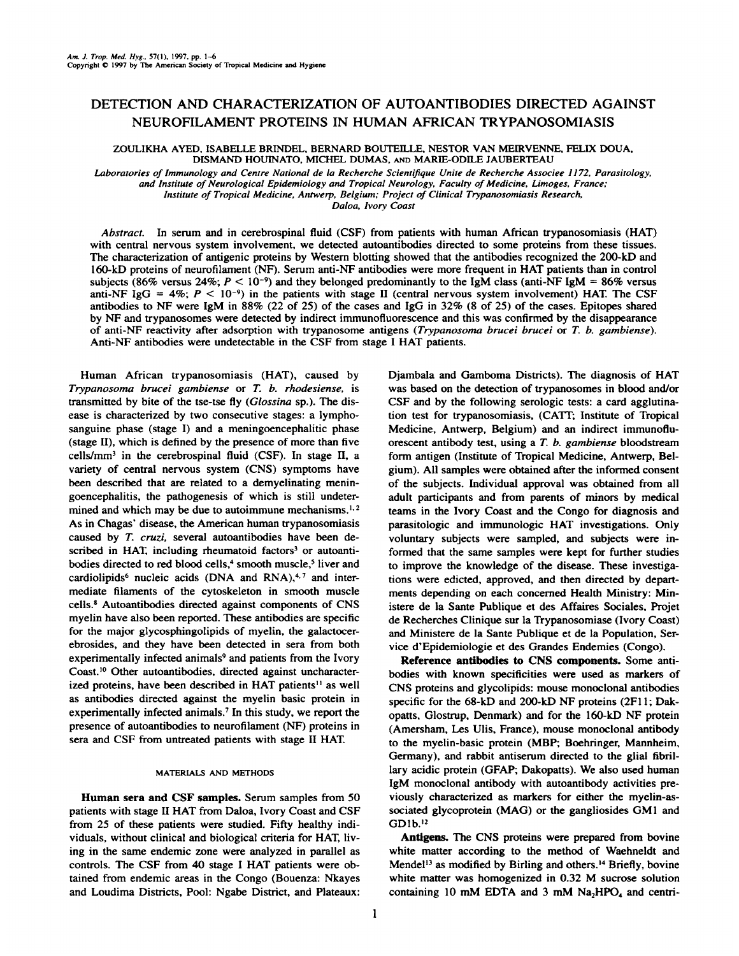## **DETECTIONAND CHARACTERIZATIONOF AUTOANTIBODIES DIRECTEDAGAINST NEUROFILAMENT PROTEINS IN HUMAN AFRICAN TRYPANOSOMIASIS**

ZOULIKHA AYED, ISABELLE BRINDEL, BERNARD BOUTEILLE, NESTOR VAN MEIRVENNE, FEUX DOUA, DISMAND HOUINATO, MICHEL DUMAS, AND MARIE-ODILE JAUBERTEAU

Laboratories of Immunology and Centre National de la Recherche Scientifique Unite de Recherche Associee 1172, Parasitology,

*and institute of Neurological Epidemiology and Tropical Neurology, Faculty of Medicine. Limoges. France:*

*institute of Tropical Medicine, Antwerp, Belgium; Project of Clinical Trypanosomiasis Research,*

*Daloa, ivory Coast*

**Abstract. In serum and in cerebrospinal fluid (CSF) from patients with human African trypanosomiasis (HAT) with central nervous system involvement, we detected autoantibodies directed to some proteins from these tissues.** The characterization of antigenic proteins by Western blotting showed that the antibodies recognized the 200-kD and l60-kD proteins of neurofilament (NF). Serum anti-NF antibodies were more frequent in HAT patients than in control subjects (86% versus 24%;  $P < 10^{-9}$ ) and they belonged predominantly to the IgM class (anti-NF IgM = 86% versus anti-NF IgG = 4%;  $P < 10^{-9}$ ) in the patients with stage II (central nervous system involvement) HAT. The CSF antibodies to NF were IgM in 88% (22 of 25) of the cases and IgG in 32% (8 of 25) of the cases. Epitopes shared **by NF and trypanosomes were detected by indirect immunofluorescence and this was confirmed by the disappearance of anti-NP reactivity after adsorption with trypanosome antigens (Trypanosoma brucei brucei or T.b. gambiense). Anti-NF antibodies were undetectable in the CSF from stage I HAT patients.**

**Human African trypanosomiasis (HAT), caused by** *Trypanosoma brucei gambiense or T. b. rhodesiense, is* transmitted by bite of the tse-tse fly (Glossina sp.). The dis **ease is characterized by two consecutive stages: a lympho sanguine phase (stage I) and a meningoencephalitic phase (stage II), which is defined by the presence of more than five cells/mm3 in the cerebrospinal fluid (CSF). In stage H, a** variety of central nervous system (CNS) symptoms have **been described that are related to a demyelinating menin goencephalitis, the pathogenesis of which is still undeter mined and which may be due to autoimmune mechanisms.' 2 As in Chagas' disease, the American human trypanosomiasis** caused by T. cruzi, several autoantibodies have been de **scribed in HAT, including rheumatoid factors3 or autoanti** bodies directed to red blood cells,<sup>4</sup> smooth muscle,<sup>5</sup> liver and **cardiolipids6 nucleic acids (DNA and RN7 and inter mediate filaments of the cytoskeleton in smooth muscle cells.8 Autoantibodies directed against components of CNS myelin have also been reported. These antibodies are specific for the major glycosphingolipids of myelin, the galactocer ebrosides, and they have been detected in sera from both experimentally infected animals9 and patients from the Ivory** Coast.<sup>10</sup> Other autoantibodies, directed against uncharacterized proteins, have been described in HAT patients<sup>11</sup> as well **as antibodies directed against the myelin basic protein in experimentally infected animals.7 In this study, we report the presence of autoantibodies to neurofilament (NF) proteins in sera and CSF from untreated patients with stage II HAT**

## **MATERIALS AND METHODS**

**Human sera and CSF samples. Serum samples from 50 patients with stage H HAT from Daloa, Ivory Coast and CSF from 25 of these patients were studied. Fifty healthy mdi viduals, without clinical and biological criteria for HAT, liv ing in the same endemic zone were analyzed in parallel as controls. The CSF from 40 stage I HAT patients were ob** tamed from endemic areas in the Congo (Bouenza: Nkayes **and Loudima Districts, Pool: Ngabe District, and Plateaux:** **Djambala and Gamboma Districts). The diagnosis of HAT** was based on the detection of trypanosomes in blood and/or **CSF and by the following serologic tests: a card agglutina lion test for trypanosomiasis, (CATI'; Institute of Tropical Medicine, Antwerp, Belgium) and an indirect immunoflu orescent antibody test, using a T. b. gambiense bloodstream form antigen (Institute of Tropical Medicine, Antwerp, Bel gium). All samples were obtained after the informed consent of the subjects. Individual approval was obtained from all adult participants and from parents of minors by medical teams in the Ivory Coast and the Congo for diagnosis and** parasitologic and immunologic HAT investigations. Only voluntary subjects were sampled, and subjects were in **formed that the same samples were kept for further studies to improve the knowledge of the disease. These investiga tions were edicted, approved, and then directed by depart ments depending on each concerned Health Ministry: Mm istere de la Sante Publique et des Affaires Sociales, Projet de Recherches Clinique sur Ia Trypanosomiase (Ivory Coast) and Ministere de la Sante Publique et de Ia Population, 5cr vice d'Epidemiologie et des Grandes Endemies (Congo).**

**Reference antibodies to CNS components. Some anti bodies with known specificities were used as markers of CNS proteins and glycolipids: mouse monoclonal antibodies specific for the 68-kD and 200-U) NF proteins (2Fl 1; Dak opatts, Glostrup, Denmark) and for the 160-kD NF protein (Amersham, Les Ulis, France), mouse monoclonal antibody to the myelin-basic protein (MBP; Boehringer, Mannheim, Germany), and rabbit antiserum directed to the glial fibril lary acidic protein (GFAP; Dakopatts). We also used human 1gM monoclonal antibody with autoantibody activities pre viously characterized as markers for either the myelin-as sociated glycoprotein (MAG) or the gangliosides GM1 and GD1b.'2**

Antigens. The CNS proteins were prepared from bovine **white matter according to the method of Waehneldt and MendeP3 as modified by Birling and others)4 Briefly, bovine white matter was homogenized in 0.32 M sucrose solution containing** 10 **mM EDTA** and 3 **mM Na<sub>2</sub>HPO<sub>4</sub> and centri-**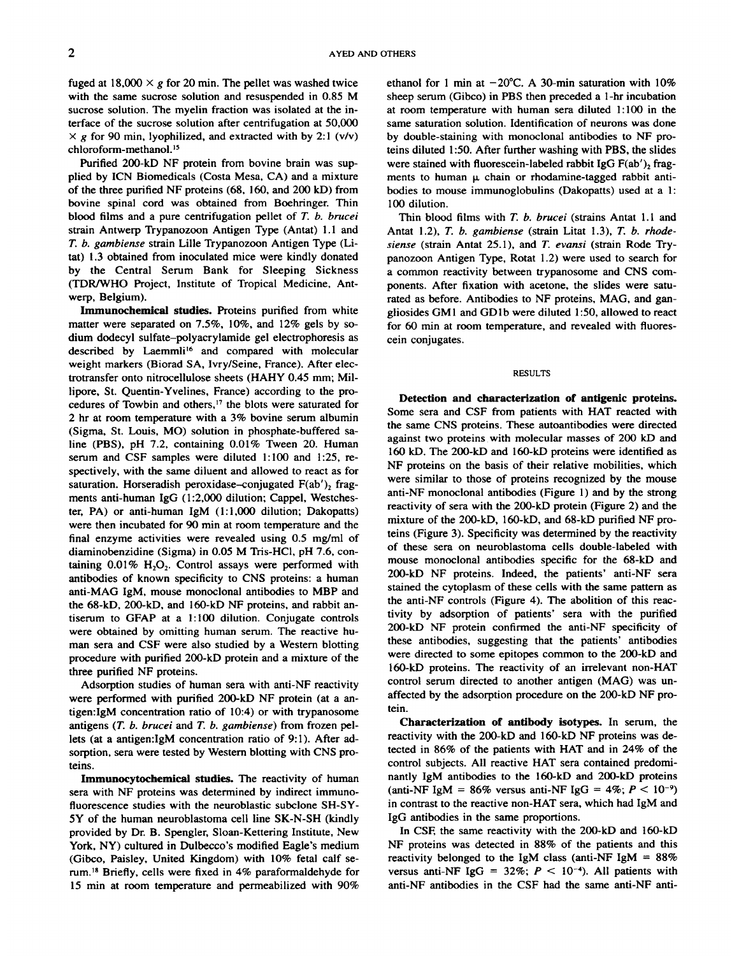**fuged** at  $18,000 \times g$  for 20 min. The pellet was washed twice **with the same sucrose solution and resuspended in 0.85 M sucrose solution. The myelin fraction was isolated atthe in** terface of the sucrose solution after centrifugation at 50,000  $\times$  **g** for 90 min, lyophilized, and extracted with by 2:1 (v/v) **chloroform-methanol. '5**

Purified 200-kD NF protein from bovine brain was sup **plied by ICN Biomedicals (Costa Mesa, CA) and a mixture of the three purified NF proteins (68, 160, and 200 kD) from bovine spinal cord was obtained from Boehringer. Thin** blood films and a pure centrifugation pellet of T. b. brucei **strain Antwerp Trypanozoon Antigen Type (Antat) 1.1 and** *T. b. gambiense strain Lille Trypanozoon Antigen Type (Li* tat) 1.3 obtained from inoculated mice were kindly donated **by the Central Serum Bank for Sleeping Sickness** (ThR/WHO Project, Institute of Tropical Medicine, Ant werp, Belgium).

**Immunochemical studies. Proteins purified from white matter were separated on 7.5%, 10%, and 12% gels by so dium dodecyl sulfate—polyacrylamide gel electrophoresis as** described by Laemmli<sup>16</sup> and compared with molecular **weight markers (Biorad SA,Ivry/Seine, France). After dcc trotransfer onto nitrocellulose sheets (HAHY 0.45 mm; Mil** lipore, St. Quentin-Yvelines, France) according to the pro **cedures of Towbin and others,'7 the blots were saturated for** 2 hr at room temperature with a 3% bovine serum albumin **(Sigma, St. Louis, MO) solution in phosphate-buffered sa line (PBS), pH 7.2, containing 0.01% Tween 20. Human** serum and CSF samples were diluted 1:100 and 1:25, re **spectively, with the same diluent and allowed to react as for saturation. Horseradish peroxidase–conjugated**  $F(ab')$ , **fragments anti-human IgG (1 :2,000 dilution; Cappel, Westches ter, PA) or anti-human 1gM (1: 1,000 dilution; Dakopatts) were then incubated for 90 mm at room temperature and the final enzyme activities were revealed using 0.5 mg/ml of diaminobenzidine (Sigma) in 0.05 M Tris-HCI, pH 7.6, con** taining  $0.01\%$  H<sub>2</sub>O<sub>2</sub>. Control assays were performed with antibodies of known specificity to CNS proteins: a human **anti-MAG 1gM, mouse monoclonal antibodies to MBP and the 68-kD, 200-kD, and l60-kD NF proteins, and rabbit an** tiserum to GFAP at a I:100 dilution. Conjugate controls **were obtained by omitting human serum. The reactive hu man sera and CSF were also studied by a Western blotting procedure with purified 200-kD protein and a mixture of the** three purified NF proteins.

**Adsorption studies of human sera with anti-NF reactivity were performed with purified 200-kD NF protein (at a an** tigen:IgM concentration ratio of 10:4) or with trypanosome **antigens (T. b. brucei and T. b. gambiense) from frozen pd lets (at a antigen:IgM concentration ratio of 9:1). After ad sorption, sera were tested by Western blotting with CNS pro teins.**

**Immunocytochemical studies. The reactivity of human sera with NF proteins was determined by indirect immuno fluorescence studies with the neuroblastic subclone SH-SY 5Y of the human neuroblastoma cell line SK-N-SH (kindly provided by Dr.B. Spengler, Sloan-Kettering Institute, New York, NY) cultured in Dulbecco's modified Eagle's medium (Gibco, Paisley, United Kingdom) with 10% fetal calf Se** rum.<sup>18</sup> Briefly, cells were fixed in 4% paraformaldehyde for **15 mm at room temperature and permeabilized with 90%** **ethanol** for 1 min at  $-20^{\circ}$ C. A 30-min saturation with  $10\%$ **sheep serum (Gibco)in PBS then preceded a 1-hr incubation at room temperature with human sera diluted 1:100 in the same saturation solution. Identification of neurons was done by double-staining with monoclonal antibodies to NF pro teins diluted 1:50. After further washing with PBS, the slides** were stained with fluorescein-labeled rabbit  $\text{IgG F(ab')}_2$  frag $m$ ents to human  $\mu$  chain or rhodamine-tagged rabbit anti**bodies to mouse immunoglobulins (Dakopatts) used at a 1:** 100 dilution.

**Thin blood films with T. b. brucei (strains Antat 1. 1 and Antat 1.2), T. b. gambiense (strain Litat 1.3), T. b. rhode** siense (strain Antat 25.1), and T. evansi (strain Rode Try**panozoon Antigen Type, Rotat 1.2) were used to search for a common reactivity between trypanosome and CNS com ponents. After fixation with acetone, the slides were sate rated as before. Antibodies to NF proteins, MAG, and gan gliosides GM1 and GD1b were diluted 1:50, allowed to react for 60 mm at room temperature, and revealed with fluores cein conjugates.**

**RESULTS**

Detection and characterization of antigenic proteins. **Some sera and CSF from patients with HAT reacted with the same CNS proteins. These autoantibodies were directed @ against two proteins with molecular masses of 200 kD and** 160 kD.The 200-kD and l60-kD proteins were identified as **NF proteins on the basis of their relative mobilities, which were similar to those of proteins recognized by the mouse anti-NF monoclonal antibodies (Figure 1) and by the strong reactivity of sera with the 200-kD protein (Figure 2) and the mixture of the 200-kD, 160-kD, and 68-kD purified NF pro teins (Figure 3). Specificity was determined by the reactivity of these sera on neuroblastoma cells double-labeled with mouse monoclonal antibodies specific for the 68-kD and** 200-kD NF proteins. Indeed, the patients' anti-NF sera stained the cytoplasm of these cells with the same pattern as **the anti-NF controls (Figure 4). The abolition of this reac tivity by adsorption of patients' sera with the purified** 200-kD NF protein confirmed the anti-NF specificity of **these antibodies, suggesting that the patients' antibodies were directed to some epitopes common to the 200-kD and** 160-kD proteins. The reactivity of an irrelevant non-HAT **control serum directed to another antigen (MAG) was un affected by the adsorption procedure on the 200-kD NF pro tein.**

Characterization of antibody isotypes. In serum, the **reactivity with the 200-kD and 160-kD NF proteins was de tected in 86% of the patients with HAT and in 24% of the control subjects. All reactive HAT sera contained predomi nantly 1gM antibodies to the 160-kD and 200-kD proteins** (anti-NF 1gM = 86% versus anti-NF 1gG = 4%;  $P < 10^{-9}$ ) **in contrast to the reactive non-HAT sera, which had 1gM and IgG antibodies in the same proportions.**

**In CSF, the same reactivity with the 200-kD and 160-kD NF proteins was detected in 88% of the patients and this reactivity** belonged to the  $1$ gM class (anti-NF  $1$ gM =  $88\%$ **versus** anti-NF  $\text{IgG} = 32\%$ ;  $P < 10^{-4}$ ). All patients with anti-NF antibodies in the CSF had the same anti-NF anti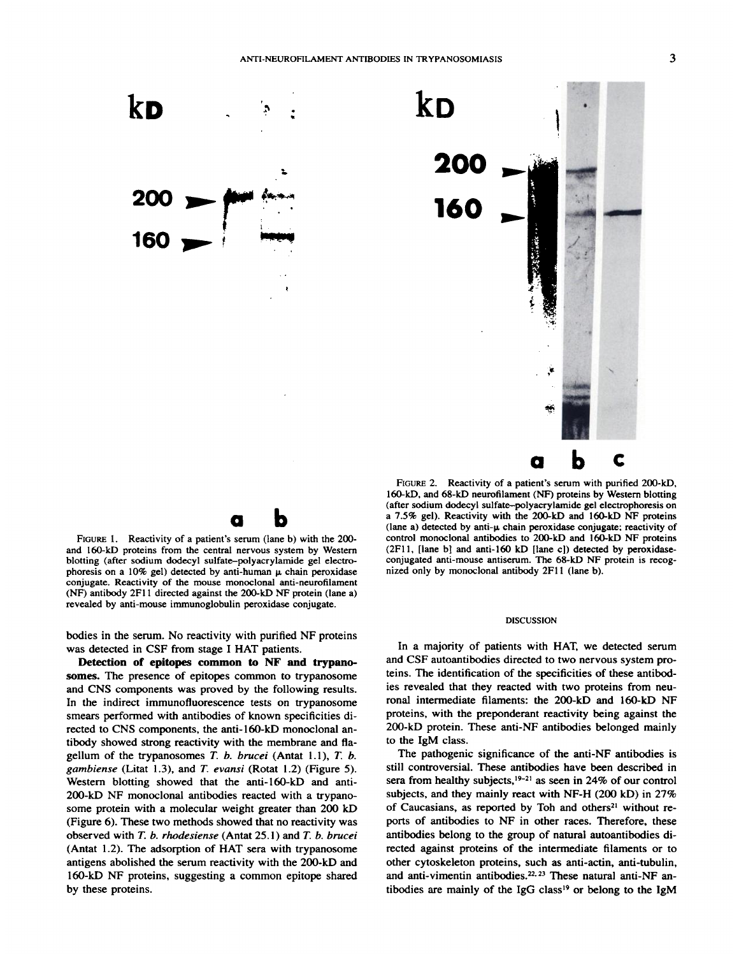

**Fiouar 1. Reactivity ofa patient's serum (lane b) with the 200 and 160-kD proteins from the central nervous system by Western blotting (after sodium dodecyl sulfate—polyacrylamidegel electro phoresis** on a 10% gel) detected by anti-human  $\mu$  chain peroxidase **conjugate. Reactivity of the mouse monoclonal anti-neurofilament (NF) antibody2F11 directedagainstthe 200-kDNF protein(lanea) revealed by anti-mouse immunoglobulin peroxidase conjugate.**

**ab**

**bodies in the serum. No reactivity with purified NF proteins was detected in CSF from stage I HAT patients.**

**Detection of epitopes common to NF and trypano** somes. The presence of epitopes common to trypanosome **and CNS components was proved by the following results. In the indirect immunofluorescence tests on trypanosome smears performed with antibodies of known specificities di rected to CNS components, the anti-160-kD monoclonal an** tibody showed strong reactivity with the membrane and fla **gellum** of the **trypanosomes**  $T$ .  $b$ .  $b$ rucei  $(A$ ntat  $1.1)$ ,  $T$ .  $b$ . *gambiense (Litat 1.3), and T. evansi (Rotat 1.2) (Figure 5).* **Western blotting showed that the anti-160-kD and anti** 200-kD NF monoclonal antibodies reacted with a trypano **some protein with a molecular weight greater than 200 kD** (Figure 6). These two methods showed that no reactivity was **observed with T. b. rhodesiense (Antat 25.1) and T. b. brucei (Antat 1.2). The adsorption of HAT sera with trypanosome antigens abolished the serum reactivity with the 200-kD and** 160-kD NF proteins, suggesting a common epitope shared **by these proteins.**

**Fiouar 2. Reactivity of a patient's serum with purified 200-kD,** 160-kD, and 68-kD neurofilament (NF) proteins by Western blotting **(after sodium dodecyl sulfate—polyacrylamide gel electrophoresis on a 7.5% gel). Reactivity with the 200-kD and l60-kD NF proteins (lane a) detected by anti-p. chain peroxidase conjugate; reactivity of control monoclonal antibodies to 200-kD and l60-kD NF proteins (2Fl 1, [lane biand anti-l60 kD [lane c]) detected by peroxidase conjugated anti-mouse antiserum. The 68-kD NF protein is recog nized only by monoclonal antibody 2FlI (lane b).**

## **DISCUSSION**

**In a majority of patients with HAT, we detected serum and CSF autoantibodies directed to two nervous system pro teins. The identification of the specificities of these antibod ies revealed that they reacted with two proteins from neu ronal intermediate filaments: the 200-kD and l60-kD NF proteins, with the preponderant reactivity being against the 200-kD protein. These anti-NF antibodies belonged mainly to the 1gM class.**

**The pathogenic significance of the anti-NF antibodies is** still controversial. These antibodies have been described in **sera from healthy subjects,'92' as seen in 24% of our control subjects, and they mainly react with NF-H (200 kD) in 27% of Caucasians, as reported by Toh and others2' without re** ports of antibodies to NF in other races. Therefore, these antibodies belong to the group of natural autoantibodies di **rected against proteins of the intermediate filaments or to other cytoskeleton proteins, such as anti-actin, anti-tubulin, and anti-vimentin antibodies.22 23These natural anti-NF an** tibodies are mainly of the IgG class'9 or belong to the 1gM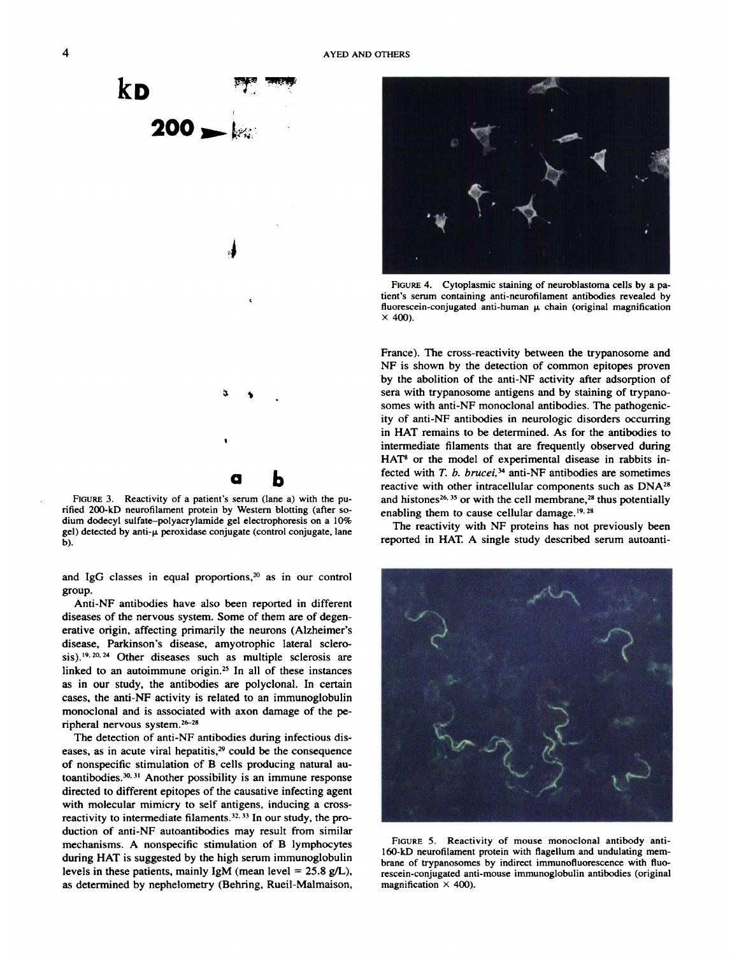

**FIGURE3. Reactivity of a patient's serum (lanea) with the pu** rified 200-kD neurofilament protein by Western blotting (after so**dium dodecyl sulfate—polyacrylamide gel electrophoresis on a 10% gel) detected by anti-p.peroxidase conjugate (control conjugate, lane b).**

**and IgG classes in equal proportions,2° as in our control** group.

**Anti-NF antibodies have also been reported in different diseases of the nervous system. Some of them are of degen** erative origin, affecting primarily the neurons (Alzheimer's **disease, Parkinson's disease, amyotrophic lateral sclero 20, 24 Other diseases such as multiple sclerosis are linked to an autoimmune otigin.@ In all of these instances as in our study, the antibodies are polyclonal. In certain cases, the anti-NF activity is related to an immunoglobulin monoclonal and isassociated with axon damage of the pe** ripheral nervous system.<sup>26-28</sup>

**The detection of anti-NF antibodies during infectious dis** eases, as in acute viral hepatitis,<sup>29</sup> could be the consequence **of nonspecific stimulation of B cells producing natural au bod3°3' Another possibility is an immune response directed to different epitopes of the causative infecting agent with molecular mimicry to self antigens, inducing a cross** reactivity to intermediate filaments.<sup>32, 33</sup> In our study, the pro**duction ofanti-NF autoantibodies may result from similar mechanisms. A nonspecific stimulation of B lymphocytes during HAT is suggested by the high serum immunoglobulin levels in these patients, mainly 1gM (mean level 25.8 gIL), as determined by nephelometry (Behring, Rueil-Malmaison,**



FIGURE 4. Cytoplasmic staining of neuroblastoma cells by a patient's serum containing anti-neurofilament antibodies revealed by fluorescein-conjugated anti-human  $\mu$  chain (original magnification **x 400).**

**France). The cross-reactivity between the trypanosome and NF is shown by the detection of common epitopes proven** by the abolition of the anti-NF activity after adsorption of sera with trypanosome antigens and by staining of trypano**somes with anti-NF monoclonal antibodies. The pathogenic ity of anti-NF antibodies in neurologic disorders occurring in HAT remains to be determined. As for the antibodies to intermediate filaments that are frequently observed during HAT' or the model of experimental disease in rabbits in** fected with *T. b. brucei*,<sup>34</sup> anti-NF antibodies are sometimes **reactive with other intracellular components such as DNA2' and 635 or with the cell membrane,2' thus potentially enabling** them to cause cellular damage.<sup>19, 28</sup>

**The reactivity with NF proteins has not previously been reported in HAT A single study described serum autoanti**



**FIGURE 5. Reactivity of mouse monoclonal antibody anti** l60-kD neurofilament protein with flagellum and undulating mem **brane of trypanosomes by indirect immunofluorescence with fluo rescein-conjugated anti-mouse immunoglobulin antibodies (original magnification x 400).**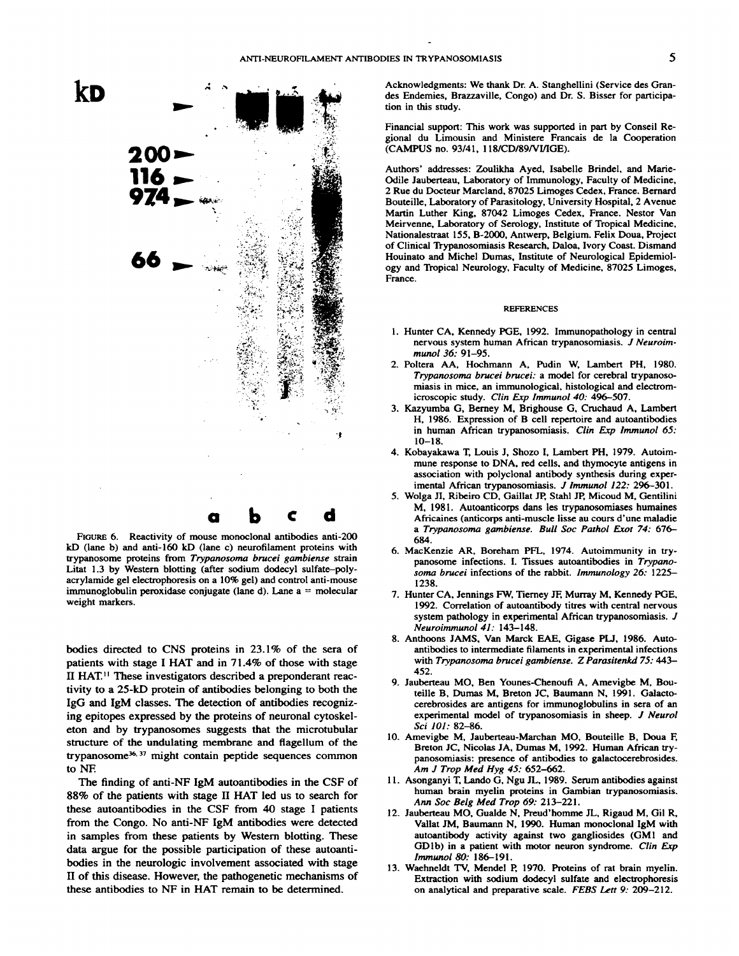

FIGURE 6. Reactivity of mouse monoclonal antibodies anti-200 kD (lane b) and anti-160 kD (lane c) neurofilament proteins with trypanosome proteins from Trypanosoma brucei gambiense strain Litat 1.3 by Western blotting (after sodium dodecyl sulfate-polyacrylamide gel electrophoresis on a 10% gel) and control anti-mouse immunoglobulin peroxidase conjugate (lane d). Lane  $a =$  molecular weight markers.

bodies directed to CNS proteins in 23.1% of the sera of patients with stage I HAT and in 71.4% of those with stage II HAT.<sup>11</sup> These investigators described a preponderant reactivity to a 25-kD protein of antibodies belonging to both the IgG and IgM classes. The detection of antibodies recognizing epitopes expressed by the proteins of neuronal cytoskeleton and by trypanosomes suggests that the microtubular structure of the undulating membrane and flagellum of the trypanosome<sup>36, 37</sup> might contain peptide sequences common to NF.

The finding of anti-NF IgM autoantibodies in the CSF of 88% of the patients with stage II HAT led us to search for these autoantibodies in the CSF from 40 stage I patients from the Congo. No anti-NF IgM antibodies were detected in samples from these patients by Western blotting. These data argue for the possible participation of these autoantibodies in the neurologic involvement associated with stage II of this disease. However, the pathogenetic mechanisms of these antibodies to NF in HAT remain to be determined.

Acknowledgments: We thank Dr. A. Stanghellini (Service des Grandes Endemies, Brazzaville, Congo) and Dr. S. Bisser for participation in this study.

Financial support: This work was supported in part by Conseil Regional du Limousin and Ministere Francais de la Cooperation (CAMPUS no. 93/41, 118/CD/89/VI/IGE).

Authors' addresses: Zoulikha Ayed, Isabelle Brindel, and Marie-Odile Jauberteau, Laboratory of Immunology, Faculty of Medicine, 2 Rue du Docteur Marcland, 87025 Limoges Cedex, France. Bernard Bouteille, Laboratory of Parasitology, University Hospital, 2 Avenue Martin Luther King, 87042 Limoges Cedex, France. Nestor Van Meirvenne, Laboratory of Serology, Institute of Tropical Medicine, Nationalestraat 155, B-2000, Antwerp, Belgium. Felix Doua, Project of Clinical Trypanosomiasis Research, Daloa, Ivory Coast. Dismand Houinato and Michel Dumas, Institute of Neurological Epidemiology and Tropical Neurology, Faculty of Medicine, 87025 Limoges, France.

## **REFERENCES**

- 1. Hunter CA, Kennedy PGE, 1992. Immunopathology in central nervous system human African trypanosomiasis. J Neuroimmunol 36: 91-95.
- 2. Poltera AA, Hochmann A, Pudin W, Lambert PH, 1980. Trypanosoma brucei brucei: a model for cerebral trypanosomiasis in mice, an immunological, histological and electromicroscopic study. Clin Exp Immunol 40: 496-507.
- 3. Kazyumba G, Berney M, Brighouse G, Cruchaud A, Lambert H, 1986. Expression of B cell repertoire and autoantibodies in human African trypanosomiasis. Clin Exp Immunol 65:  $10 - 18$
- 4. Kobayakawa T, Louis J, Shozo I, Lambert PH, 1979. Autoimmune response to DNA, red cells, and thymocyte antigens in association with polyclonal antibody synthesis during experimental African trypanosomiasis. J Immunol 122: 296-301.
- 5. Wolga JI, Ribeiro CD, Gaillat JP, Stahl JP, Micoud M, Gentilini M, 1981. Autoanticorps dans les trypanosomiases humaines Africaines (anticorps anti-muscle lisse au cours d'une maladie a Trypanosoma gambiense. Bull Soc Pathol Exot 74: 676-684.
- 6. MacKenzie AR, Boreham PFL, 1974. Autoimmunity in trypanosome infections. I. Tissues autoantibodies in Trypanosoma brucei infections of the rabbit. Immunology 26: 1225-1238.
- 7. Hunter CA, Jennings FW, Tierney JF, Murray M, Kennedy PGE, 1992. Correlation of autoantibody titres with central nervous system pathology in experimental African trypanosomiasis. J Neuroimmunol 41: 143-148.
- 8. Anthoons JAMS, Van Marck EAE, Gigase PLJ, 1986. Autoantibodies to intermediate filaments in experimental infections with Trypanosoma brucei gambiense. Z Parasitenkd 75: 443-452.
- 9. Jauberteau MO, Ben Younes-Chenoufi A, Amevigbe M, Bouteille B, Dumas M, Breton JC, Baumann N, 1991. Galactocerebrosides are antigens for immunoglobulins in sera of an experimental model of trypanosomiasis in sheep. J Neurol Sci 101: 82-86.
- 10. Amevigbe M, Jauberteau-Marchan MO, Bouteille B, Doua F, Breton JC, Nicolas JA, Dumas M, 1992. Human African trypanosomiasis: presence of antibodies to galactocerebrosides. Am J Trop Med Hyg 45: 652-662.
- 11. Asonganyi T, Lando G, Ngu JL, 1989. Serum antibodies against human brain myelin proteins in Gambian trypanosomiasis. Ann Soc Belg Med Trop 69: 213-221.
- 12. Jauberteau MO, Gualde N, Preud'homme JL, Rigaud M, Gil R, Vallat JM, Baumann N, 1990. Human monoclonal IgM with autoantibody activity against two gangliosides (GM1 and GD1b) in a patient with motor neuron syndrome. Clin Exp Immunol 80: 186-191.
- 13. Waehneldt TV, Mendel P, 1970. Proteins of rat brain myelin. Extraction with sodium dodecyl sulfate and electrophoresis on analytical and preparative scale. FEBS Lett 9: 209-212.